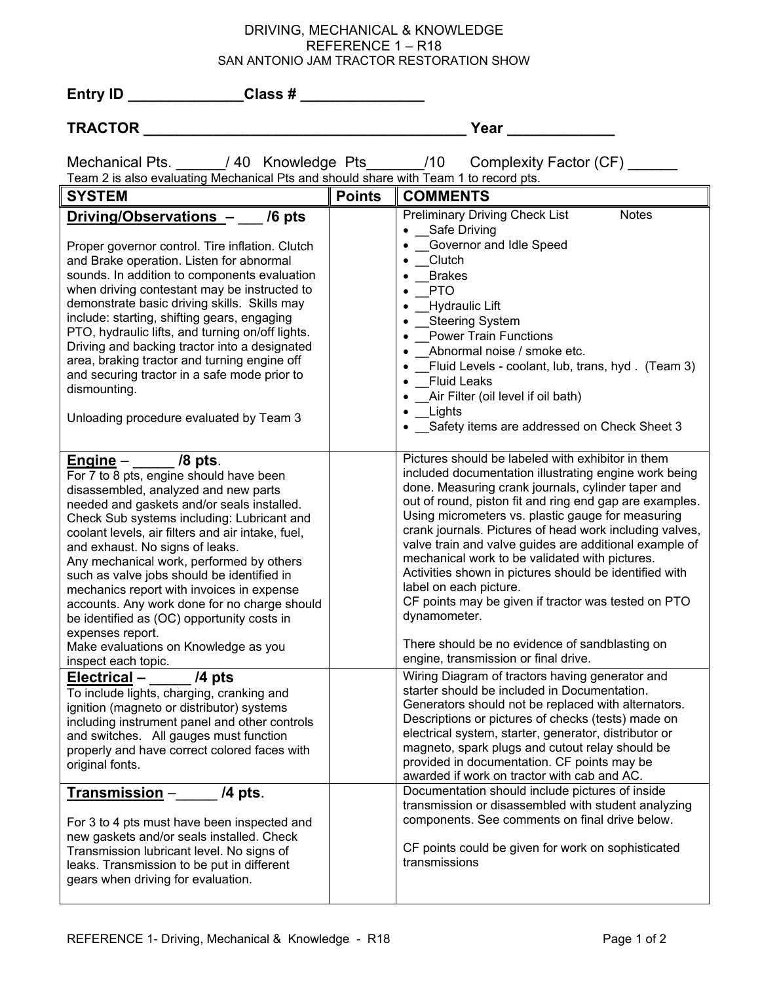## DRIVING, MECHANICAL & KNOWLEDGE REFERENCE 1 – R18 SAN ANTONIO JAM TRACTOR RESTORATION SHOW

| Entry ID Class #                                                                                                                                                                                                                                                                                                                                                                                                                                                                                                                                   |               |                                                                                                                                                                                                                                                                                                                                                                                                                                                                                                                                                                                                                                                                      |
|----------------------------------------------------------------------------------------------------------------------------------------------------------------------------------------------------------------------------------------------------------------------------------------------------------------------------------------------------------------------------------------------------------------------------------------------------------------------------------------------------------------------------------------------------|---------------|----------------------------------------------------------------------------------------------------------------------------------------------------------------------------------------------------------------------------------------------------------------------------------------------------------------------------------------------------------------------------------------------------------------------------------------------------------------------------------------------------------------------------------------------------------------------------------------------------------------------------------------------------------------------|
| <b>TRACTOR</b>                                                                                                                                                                                                                                                                                                                                                                                                                                                                                                                                     |               | Year                                                                                                                                                                                                                                                                                                                                                                                                                                                                                                                                                                                                                                                                 |
| Team 2 is also evaluating Mechanical Pts and should share with Team 1 to record pts.                                                                                                                                                                                                                                                                                                                                                                                                                                                               |               | Mechanical Pts. _____/40 Knowledge Pts______/10 Complexity Factor (CF) ______                                                                                                                                                                                                                                                                                                                                                                                                                                                                                                                                                                                        |
| <b>SYSTEM</b>                                                                                                                                                                                                                                                                                                                                                                                                                                                                                                                                      | <b>Points</b> | <b>COMMENTS</b>                                                                                                                                                                                                                                                                                                                                                                                                                                                                                                                                                                                                                                                      |
| Driving/Observations - /6 pts<br>Proper governor control. Tire inflation. Clutch<br>and Brake operation. Listen for abnormal<br>sounds. In addition to components evaluation<br>when driving contestant may be instructed to<br>demonstrate basic driving skills. Skills may<br>include: starting, shifting gears, engaging<br>PTO, hydraulic lifts, and turning on/off lights.<br>Driving and backing tractor into a designated<br>area, braking tractor and turning engine off<br>and securing tractor in a safe mode prior to<br>dismounting.   |               | <b>Preliminary Driving Check List</b><br><b>Notes</b><br>• Safe Driving<br>• Governor and Idle Speed<br>• Clutch<br>$\bullet$ Brakes<br>$\bullet$ PTO<br>• Hydraulic Lift<br>• Steering System<br>• Power Train Functions<br>Abnormal noise / smoke etc.<br>$\bullet$<br>• Fluid Levels - coolant, lub, trans, hyd. (Team 3)<br><b>Fluid Leaks</b><br>$\bullet$<br>_Air Filter (oil level if oil bath)                                                                                                                                                                                                                                                               |
| Unloading procedure evaluated by Team 3                                                                                                                                                                                                                                                                                                                                                                                                                                                                                                            |               | __Lights<br>• Safety items are addressed on Check Sheet 3                                                                                                                                                                                                                                                                                                                                                                                                                                                                                                                                                                                                            |
| $engine - 78 pts.$<br>For 7 to 8 pts, engine should have been<br>disassembled, analyzed and new parts<br>needed and gaskets and/or seals installed.<br>Check Sub systems including: Lubricant and<br>coolant levels, air filters and air intake, fuel,<br>and exhaust. No signs of leaks.<br>Any mechanical work, performed by others<br>such as valve jobs should be identified in<br>mechanics report with invoices in expense<br>accounts. Any work done for no charge should<br>be identified as (OC) opportunity costs in<br>expenses report. |               | Pictures should be labeled with exhibitor in them<br>included documentation illustrating engine work being<br>done. Measuring crank journals, cylinder taper and<br>out of round, piston fit and ring end gap are examples.<br>Using micrometers vs. plastic gauge for measuring<br>crank journals. Pictures of head work including valves,<br>valve train and valve guides are additional example of<br>mechanical work to be validated with pictures.<br>Activities shown in pictures should be identified with<br>label on each picture.<br>CF points may be given if tractor was tested on PTO<br>dynamometer.<br>There should be no evidence of sandblasting on |
| Make evaluations on Knowledge as you<br>inspect each topic.                                                                                                                                                                                                                                                                                                                                                                                                                                                                                        |               | engine, transmission or final drive.                                                                                                                                                                                                                                                                                                                                                                                                                                                                                                                                                                                                                                 |
| /4 pts<br>Electrical-<br>To include lights, charging, cranking and<br>ignition (magneto or distributor) systems<br>including instrument panel and other controls<br>and switches. All gauges must function<br>properly and have correct colored faces with<br>original fonts.                                                                                                                                                                                                                                                                      |               | Wiring Diagram of tractors having generator and<br>starter should be included in Documentation.<br>Generators should not be replaced with alternators.<br>Descriptions or pictures of checks (tests) made on<br>electrical system, starter, generator, distributor or<br>magneto, spark plugs and cutout relay should be<br>provided in documentation. CF points may be<br>awarded if work on tractor with cab and AC.                                                                                                                                                                                                                                               |
| Transmission -<br>$/4$ pts.<br>For 3 to 4 pts must have been inspected and<br>new gaskets and/or seals installed. Check<br>Transmission lubricant level. No signs of<br>leaks. Transmission to be put in different<br>gears when driving for evaluation.                                                                                                                                                                                                                                                                                           |               | Documentation should include pictures of inside<br>transmission or disassembled with student analyzing<br>components. See comments on final drive below.<br>CF points could be given for work on sophisticated<br>transmissions                                                                                                                                                                                                                                                                                                                                                                                                                                      |